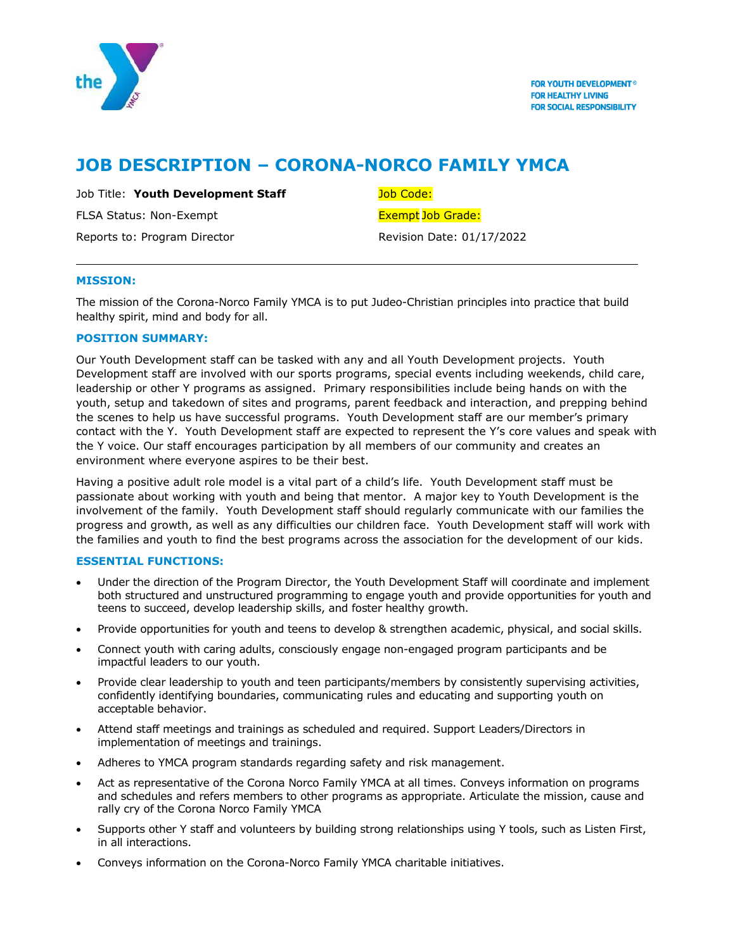

# **JOB DESCRIPTION – CORONA-NORCO FAMILY YMCA**

Job Title: **Youth Development Staff** Job Code:

FLSA Status: Non-Exempt Exempt Exempt Job Grade:

Reports to: Program Director **Revision Date: 01/17/2022** 

# **MISSION:**

The mission of the Corona-Norco Family YMCA is to put Judeo-Christian principles into practice that build healthy spirit, mind and body for all.

# **POSITION SUMMARY:**

Our Youth Development staff can be tasked with any and all Youth Development projects. Youth Development staff are involved with our sports programs, special events including weekends, child care, leadership or other Y programs as assigned. Primary responsibilities include being hands on with the youth, setup and takedown of sites and programs, parent feedback and interaction, and prepping behind the scenes to help us have successful programs. Youth Development staff are our member's primary contact with the Y. Youth Development staff are expected to represent the Y's core values and speak with the Y voice. Our staff encourages participation by all members of our community and creates an environment where everyone aspires to be their best.

Having a positive adult role model is a vital part of a child's life. Youth Development staff must be passionate about working with youth and being that mentor. A major key to Youth Development is the involvement of the family. Youth Development staff should regularly communicate with our families the progress and growth, as well as any difficulties our children face. Youth Development staff will work with the families and youth to find the best programs across the association for the development of our kids.

# **ESSENTIAL FUNCTIONS:**

- Under the direction of the Program Director, the Youth Development Staff will coordinate and implement both structured and unstructured programming to engage youth and provide opportunities for youth and teens to succeed, develop leadership skills, and foster healthy growth.
- Provide opportunities for youth and teens to develop & strengthen academic, physical, and social skills.
- Connect youth with caring adults, consciously engage non-engaged program participants and be impactful leaders to our youth.
- Provide clear leadership to youth and teen participants/members by consistently supervising activities, confidently identifying boundaries, communicating rules and educating and supporting youth on acceptable behavior.
- Attend staff meetings and trainings as scheduled and required. Support Leaders/Directors in implementation of meetings and trainings.
- Adheres to YMCA program standards regarding safety and risk management.
- Act as representative of the Corona Norco Family YMCA at all times. Conveys information on programs and schedules and refers members to other programs as appropriate. Articulate the mission, cause and rally cry of the Corona Norco Family YMCA
- Supports other Y staff and volunteers by building strong relationships using Y tools, such as Listen First, in all interactions.
- Conveys information on the Corona-Norco Family YMCA charitable initiatives.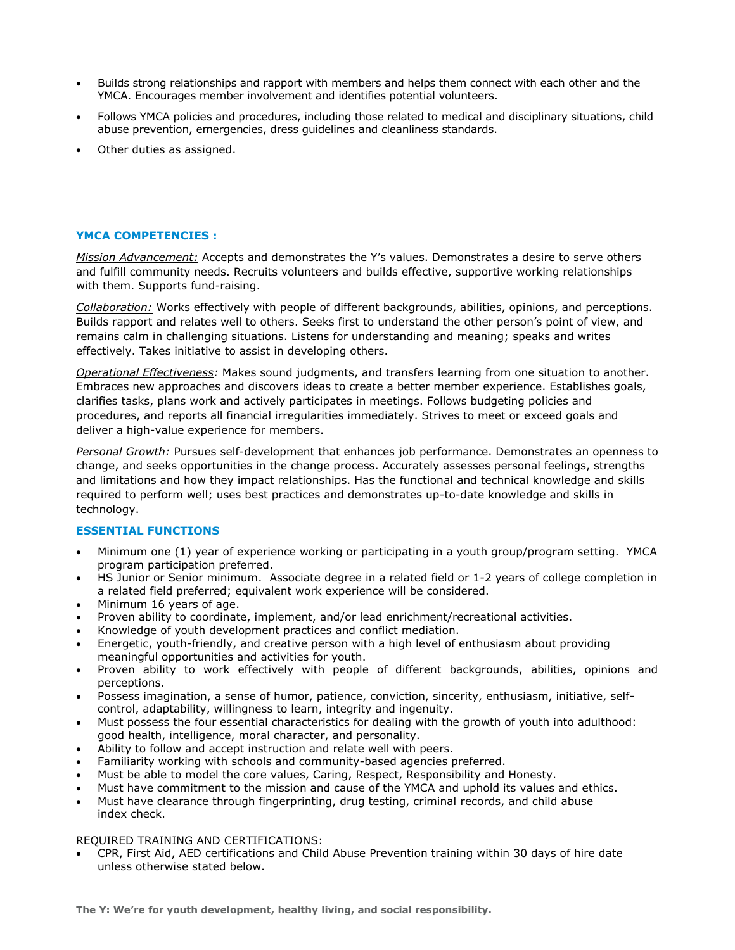- Builds strong relationships and rapport with members and helps them connect with each other and the YMCA. Encourages member involvement and identifies potential volunteers.
- Follows YMCA policies and procedures, including those related to medical and disciplinary situations, child abuse prevention, emergencies, dress guidelines and cleanliness standards.
- Other duties as assigned.

#### **YMCA COMPETENCIES :**

*Mission Advancement:* Accepts and demonstrates the Y's values. Demonstrates a desire to serve others and fulfill community needs. Recruits volunteers and builds effective, supportive working relationships with them. Supports fund-raising.

*Collaboration:* Works effectively with people of different backgrounds, abilities, opinions, and perceptions. Builds rapport and relates well to others. Seeks first to understand the other person's point of view, and remains calm in challenging situations. Listens for understanding and meaning; speaks and writes effectively. Takes initiative to assist in developing others.

*Operational Effectiveness:* Makes sound judgments, and transfers learning from one situation to another. Embraces new approaches and discovers ideas to create a better member experience. Establishes goals, clarifies tasks, plans work and actively participates in meetings. Follows budgeting policies and procedures, and reports all financial irregularities immediately. Strives to meet or exceed goals and deliver a high-value experience for members.

*Personal Growth:* Pursues self-development that enhances job performance. Demonstrates an openness to change, and seeks opportunities in the change process. Accurately assesses personal feelings, strengths and limitations and how they impact relationships. Has the functional and technical knowledge and skills required to perform well; uses best practices and demonstrates up-to-date knowledge and skills in technology.

#### **ESSENTIAL FUNCTIONS**

- Minimum one (1) year of experience working or participating in a youth group/program setting. YMCA program participation preferred.
- HS Junior or Senior minimum. Associate degree in a related field or 1-2 years of college completion in a related field preferred; equivalent work experience will be considered.
- Minimum 16 years of age.
- Proven ability to coordinate, implement, and/or lead enrichment/recreational activities.
- Knowledge of youth development practices and conflict mediation.
- Energetic, youth-friendly, and creative person with a high level of enthusiasm about providing meaningful opportunities and activities for youth.
- Proven ability to work effectively with people of different backgrounds, abilities, opinions and perceptions.
- Possess imagination, a sense of humor, patience, conviction, sincerity, enthusiasm, initiative, selfcontrol, adaptability, willingness to learn, integrity and ingenuity.
- Must possess the four essential characteristics for dealing with the growth of youth into adulthood: good health, intelligence, moral character, and personality.
- Ability to follow and accept instruction and relate well with peers.
- Familiarity working with schools and community-based agencies preferred.
- Must be able to model the core values, Caring, Respect, Responsibility and Honesty.
- Must have commitment to the mission and cause of the YMCA and uphold its values and ethics.
- Must have clearance through fingerprinting, drug testing, criminal records, and child abuse index check.

#### REQUIRED TRAINING AND CERTIFICATIONS:

 CPR, First Aid, AED certifications and Child Abuse Prevention training within 30 days of hire date unless otherwise stated below.